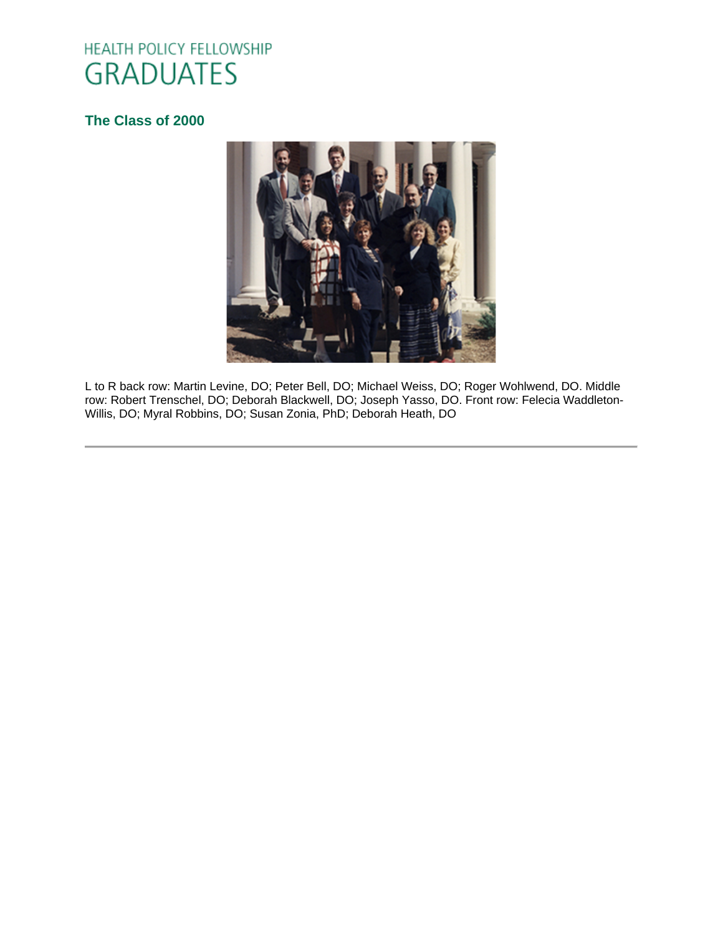# HEALTH POLICY FELLOWSHIP **GRADUATES**

# **[The Class of 2000](http://www.oucom.ohiou.edu/hpf/Graduates2012.htm)**



L to R back row: Martin Levine, DO; Peter Bell, DO; Michael Weiss, DO; Roger Wohlwend, DO. Middle row: Robert Trenschel, DO; Deborah Blackwell, DO; Joseph Yasso, DO. Front row: Felecia Waddleton-Willis, DO; Myral Robbins, DO; Susan Zonia, PhD; Deborah Heath, DO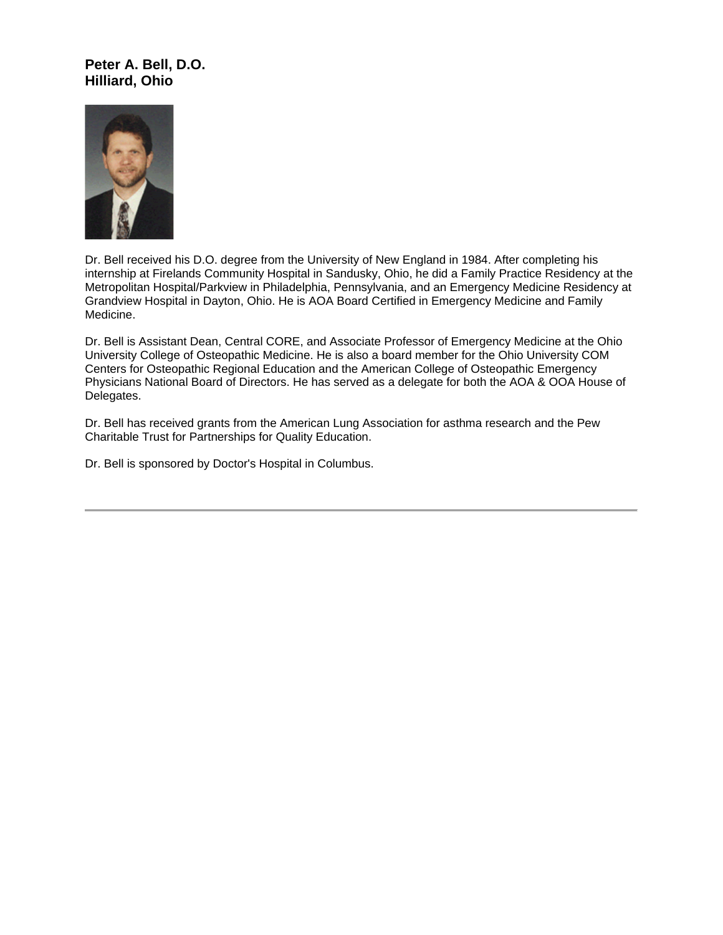#### **Peter A. Bell, D.O. Hilliard, Ohio**



Dr. Bell received his D.O. degree from the University of New England in 1984. After completing his internship at Firelands Community Hospital in Sandusky, Ohio, he did a Family Practice Residency at the Metropolitan Hospital/Parkview in Philadelphia, Pennsylvania, and an Emergency Medicine Residency at Grandview Hospital in Dayton, Ohio. He is AOA Board Certified in Emergency Medicine and Family Medicine.

Dr. Bell is Assistant Dean, Central CORE, and Associate Professor of Emergency Medicine at the Ohio University College of Osteopathic Medicine. He is also a board member for the Ohio University COM Centers for Osteopathic Regional Education and the American College of Osteopathic Emergency Physicians National Board of Directors. He has served as a delegate for both the AOA & OOA House of Delegates.

Dr. Bell has received grants from the American Lung Association for asthma research and the Pew Charitable Trust for Partnerships for Quality Education.

Dr. Bell is sponsored by Doctor's Hospital in Columbus.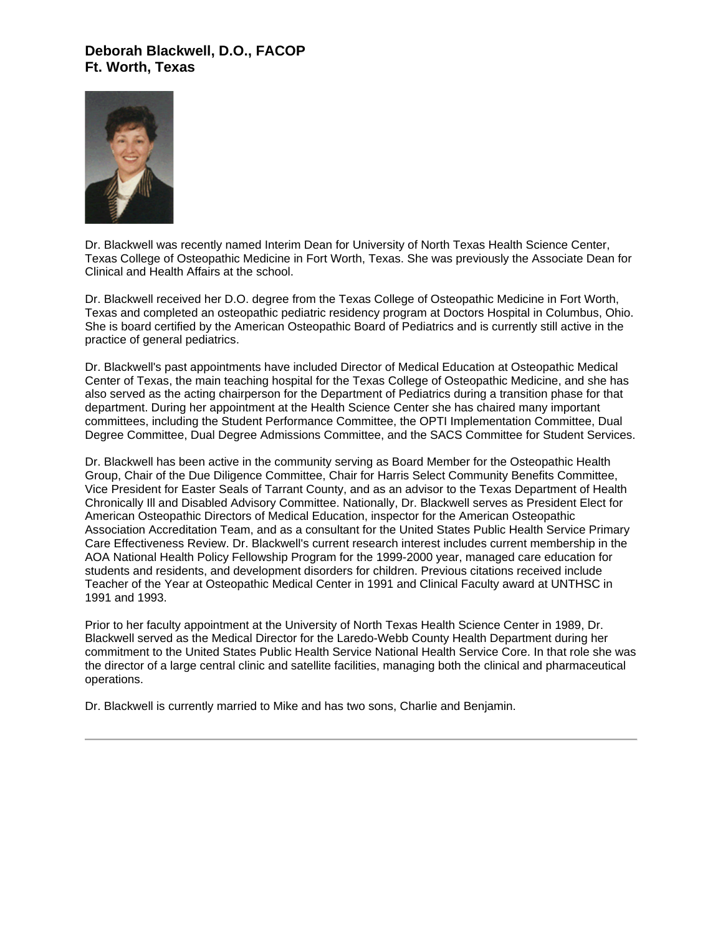#### **Deborah Blackwell, D.O., FACOP Ft. Worth, Texas**



Dr. Blackwell was recently named Interim Dean for University of North Texas Health Science Center, Texas College of Osteopathic Medicine in Fort Worth, Texas. She was previously the Associate Dean for Clinical and Health Affairs at the school.

Dr. Blackwell received her D.O. degree from the Texas College of Osteopathic Medicine in Fort Worth, Texas and completed an osteopathic pediatric residency program at Doctors Hospital in Columbus, Ohio. She is board certified by the American Osteopathic Board of Pediatrics and is currently still active in the practice of general pediatrics.

Dr. Blackwell's past appointments have included Director of Medical Education at Osteopathic Medical Center of Texas, the main teaching hospital for the Texas College of Osteopathic Medicine, and she has also served as the acting chairperson for the Department of Pediatrics during a transition phase for that department. During her appointment at the Health Science Center she has chaired many important committees, including the Student Performance Committee, the OPTI Implementation Committee, Dual Degree Committee, Dual Degree Admissions Committee, and the SACS Committee for Student Services.

Dr. Blackwell has been active in the community serving as Board Member for the Osteopathic Health Group, Chair of the Due Diligence Committee, Chair for Harris Select Community Benefits Committee, Vice President for Easter Seals of Tarrant County, and as an advisor to the Texas Department of Health Chronically Ill and Disabled Advisory Committee. Nationally, Dr. Blackwell serves as President Elect for American Osteopathic Directors of Medical Education, inspector for the American Osteopathic Association Accreditation Team, and as a consultant for the United States Public Health Service Primary Care Effectiveness Review. Dr. Blackwell's current research interest includes current membership in the AOA National Health Policy Fellowship Program for the 1999-2000 year, managed care education for students and residents, and development disorders for children. Previous citations received include Teacher of the Year at Osteopathic Medical Center in 1991 and Clinical Faculty award at UNTHSC in 1991 and 1993.

Prior to her faculty appointment at the University of North Texas Health Science Center in 1989, Dr. Blackwell served as the Medical Director for the Laredo-Webb County Health Department during her commitment to the United States Public Health Service National Health Service Core. In that role she was the director of a large central clinic and satellite facilities, managing both the clinical and pharmaceutical operations.

Dr. Blackwell is currently married to Mike and has two sons, Charlie and Benjamin.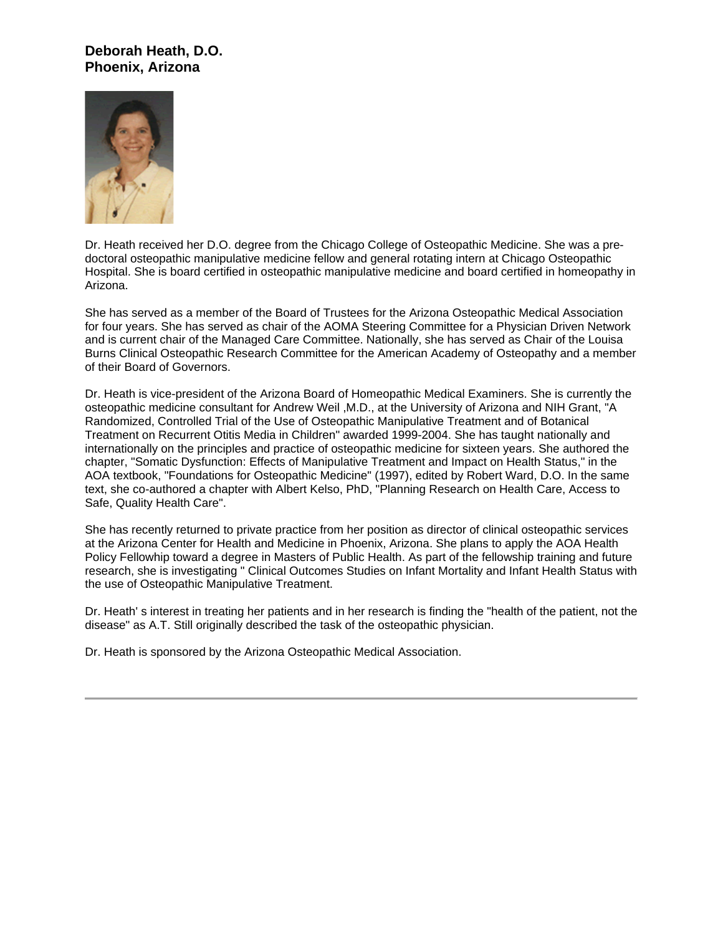### **Deborah Heath, D.O. Phoenix, Arizona**



Dr. Heath received her D.O. degree from the Chicago College of Osteopathic Medicine. She was a predoctoral osteopathic manipulative medicine fellow and general rotating intern at Chicago Osteopathic Hospital. She is board certified in osteopathic manipulative medicine and board certified in homeopathy in Arizona.

She has served as a member of the Board of Trustees for the Arizona Osteopathic Medical Association for four years. She has served as chair of the AOMA Steering Committee for a Physician Driven Network and is current chair of the Managed Care Committee. Nationally, she has served as Chair of the Louisa Burns Clinical Osteopathic Research Committee for the American Academy of Osteopathy and a member of their Board of Governors.

Dr. Heath is vice-president of the Arizona Board of Homeopathic Medical Examiners. She is currently the osteopathic medicine consultant for Andrew Weil ,M.D., at the University of Arizona and NIH Grant, "A Randomized, Controlled Trial of the Use of Osteopathic Manipulative Treatment and of Botanical Treatment on Recurrent Otitis Media in Children" awarded 1999-2004. She has taught nationally and internationally on the principles and practice of osteopathic medicine for sixteen years. She authored the chapter, "Somatic Dysfunction: Effects of Manipulative Treatment and Impact on Health Status," in the AOA textbook, "Foundations for Osteopathic Medicine" (1997), edited by Robert Ward, D.O. In the same text, she co-authored a chapter with Albert Kelso, PhD, "Planning Research on Health Care, Access to Safe, Quality Health Care".

She has recently returned to private practice from her position as director of clinical osteopathic services at the Arizona Center for Health and Medicine in Phoenix, Arizona. She plans to apply the AOA Health Policy Fellowhip toward a degree in Masters of Public Health. As part of the fellowship training and future research, she is investigating " Clinical Outcomes Studies on Infant Mortality and Infant Health Status with the use of Osteopathic Manipulative Treatment.

Dr. Heath' s interest in treating her patients and in her research is finding the "health of the patient, not the disease" as A.T. Still originally described the task of the osteopathic physician.

Dr. Heath is sponsored by the Arizona Osteopathic Medical Association.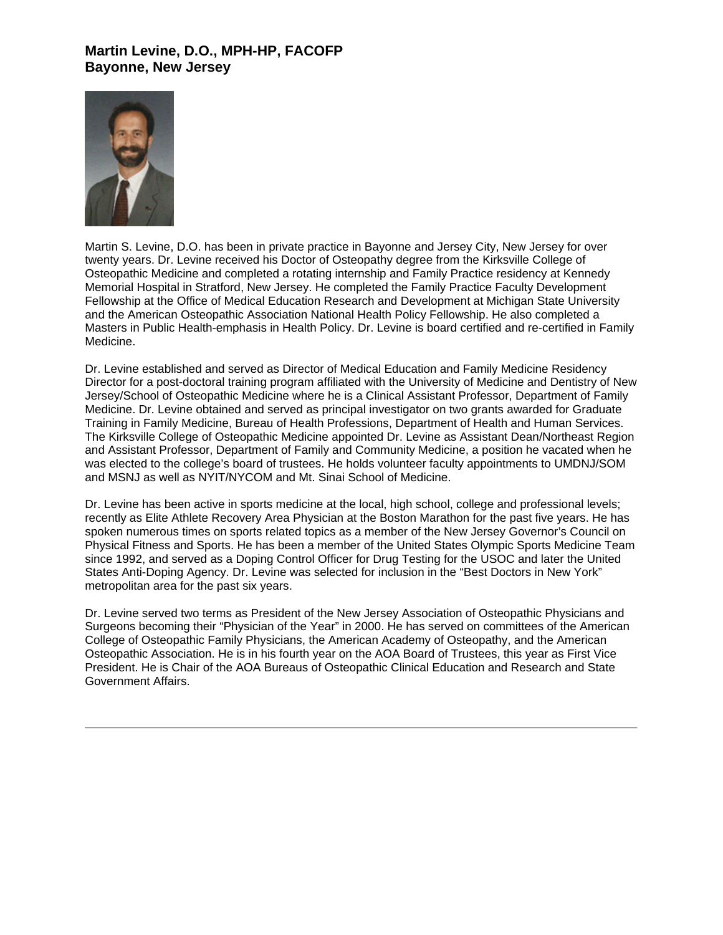### **Martin Levine, D.O., MPH-HP, FACOFP Bayonne, New Jersey**



Martin S. Levine, D.O. has been in private practice in Bayonne and Jersey City, New Jersey for over twenty years. Dr. Levine received his Doctor of Osteopathy degree from the Kirksville College of Osteopathic Medicine and completed a rotating internship and Family Practice residency at Kennedy Memorial Hospital in Stratford, New Jersey. He completed the Family Practice Faculty Development Fellowship at the Office of Medical Education Research and Development at Michigan State University and the American Osteopathic Association National Health Policy Fellowship. He also completed a Masters in Public Health-emphasis in Health Policy. Dr. Levine is board certified and re-certified in Family Medicine.

Dr. Levine established and served as Director of Medical Education and Family Medicine Residency Director for a post-doctoral training program affiliated with the University of Medicine and Dentistry of New Jersey/School of Osteopathic Medicine where he is a Clinical Assistant Professor, Department of Family Medicine. Dr. Levine obtained and served as principal investigator on two grants awarded for Graduate Training in Family Medicine, Bureau of Health Professions, Department of Health and Human Services. The Kirksville College of Osteopathic Medicine appointed Dr. Levine as Assistant Dean/Northeast Region and Assistant Professor, Department of Family and Community Medicine, a position he vacated when he was elected to the college's board of trustees. He holds volunteer faculty appointments to UMDNJ/SOM and MSNJ as well as NYIT/NYCOM and Mt. Sinai School of Medicine.

Dr. Levine has been active in sports medicine at the local, high school, college and professional levels; recently as Elite Athlete Recovery Area Physician at the Boston Marathon for the past five years. He has spoken numerous times on sports related topics as a member of the New Jersey Governor's Council on Physical Fitness and Sports. He has been a member of the United States Olympic Sports Medicine Team since 1992, and served as a Doping Control Officer for Drug Testing for the USOC and later the United States Anti-Doping Agency. Dr. Levine was selected for inclusion in the "Best Doctors in New York" metropolitan area for the past six years.

Dr. Levine served two terms as President of the New Jersey Association of Osteopathic Physicians and Surgeons becoming their "Physician of the Year" in 2000. He has served on committees of the American College of Osteopathic Family Physicians, the American Academy of Osteopathy, and the American Osteopathic Association. He is in his fourth year on the AOA Board of Trustees, this year as First Vice President. He is Chair of the AOA Bureaus of Osteopathic Clinical Education and Research and State Government Affairs.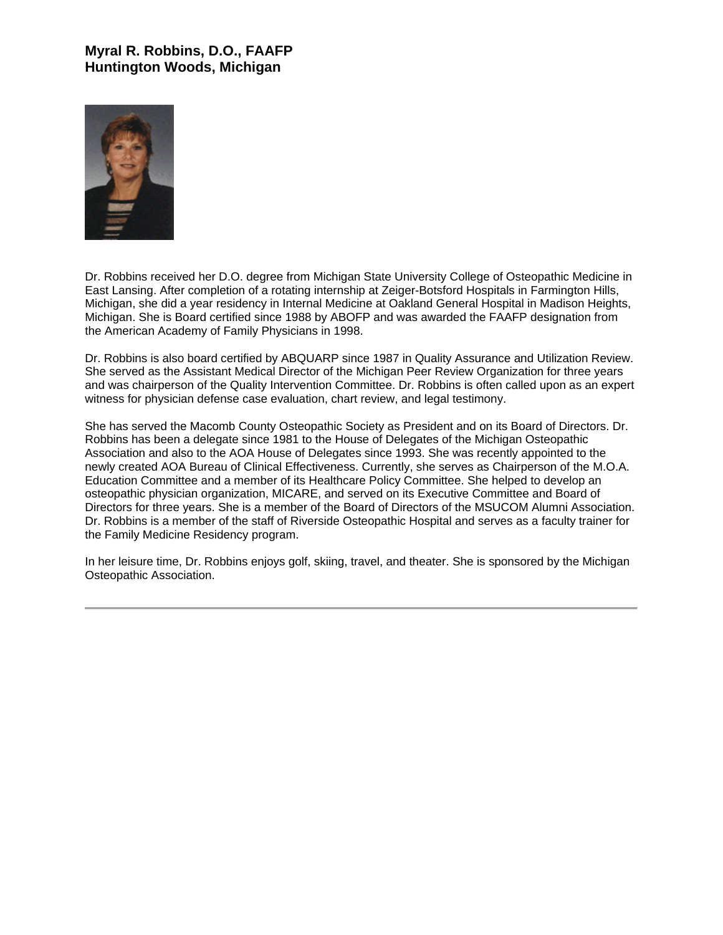## **Myral R. Robbins, D.O., FAAFP Huntington Woods, Michigan**



Dr. Robbins received her D.O. degree from Michigan State University College of Osteopathic Medicine in East Lansing. After completion of a rotating internship at Zeiger-Botsford Hospitals in Farmington Hills, Michigan, she did a year residency in Internal Medicine at Oakland General Hospital in Madison Heights, Michigan. She is Board certified since 1988 by ABOFP and was awarded the FAAFP designation from the American Academy of Family Physicians in 1998.

Dr. Robbins is also board certified by ABQUARP since 1987 in Quality Assurance and Utilization Review. She served as the Assistant Medical Director of the Michigan Peer Review Organization for three years and was chairperson of the Quality Intervention Committee. Dr. Robbins is often called upon as an expert witness for physician defense case evaluation, chart review, and legal testimony.

She has served the Macomb County Osteopathic Society as President and on its Board of Directors. Dr. Robbins has been a delegate since 1981 to the House of Delegates of the Michigan Osteopathic Association and also to the AOA House of Delegates since 1993. She was recently appointed to the newly created AOA Bureau of Clinical Effectiveness. Currently, she serves as Chairperson of the M.O.A. Education Committee and a member of its Healthcare Policy Committee. She helped to develop an osteopathic physician organization, MICARE, and served on its Executive Committee and Board of Directors for three years. She is a member of the Board of Directors of the MSUCOM Alumni Association. Dr. Robbins is a member of the staff of Riverside Osteopathic Hospital and serves as a faculty trainer for the Family Medicine Residency program.

In her leisure time, Dr. Robbins enjoys golf, skiing, travel, and theater. She is sponsored by the Michigan Osteopathic Association.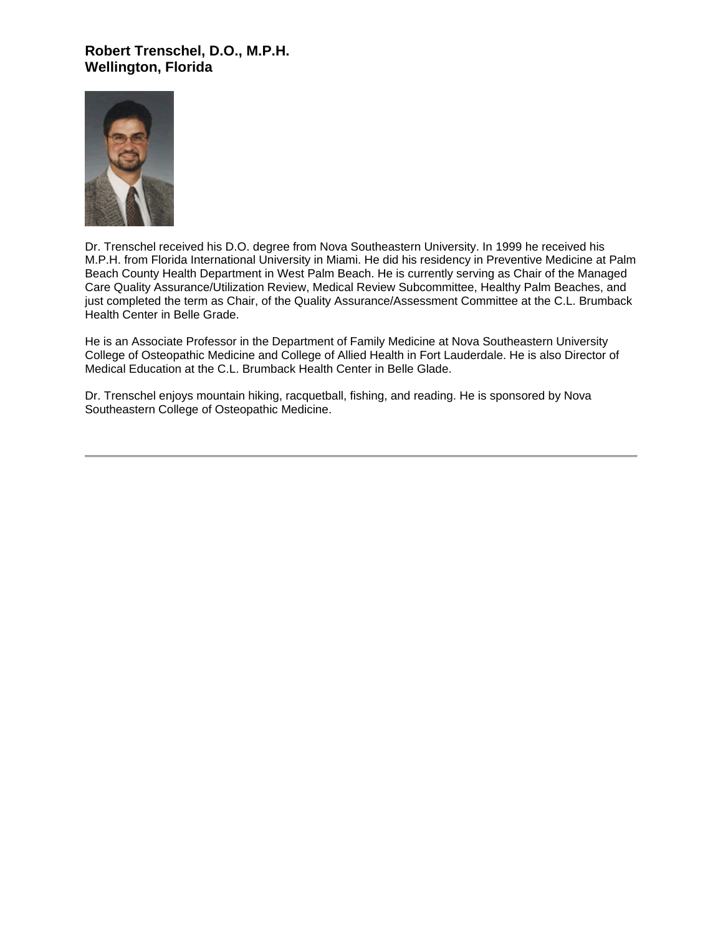## **Robert Trenschel, D.O., M.P.H. Wellington, Florida**



Dr. Trenschel received his D.O. degree from Nova Southeastern University. In 1999 he received his M.P.H. from Florida International University in Miami. He did his residency in Preventive Medicine at Palm Beach County Health Department in West Palm Beach. He is currently serving as Chair of the Managed Care Quality Assurance/Utilization Review, Medical Review Subcommittee, Healthy Palm Beaches, and just completed the term as Chair, of the Quality Assurance/Assessment Committee at the C.L. Brumback Health Center in Belle Grade.

He is an Associate Professor in the Department of Family Medicine at Nova Southeastern University College of Osteopathic Medicine and College of Allied Health in Fort Lauderdale. He is also Director of Medical Education at the C.L. Brumback Health Center in Belle Glade.

Dr. Trenschel enjoys mountain hiking, racquetball, fishing, and reading. He is sponsored by Nova Southeastern College of Osteopathic Medicine.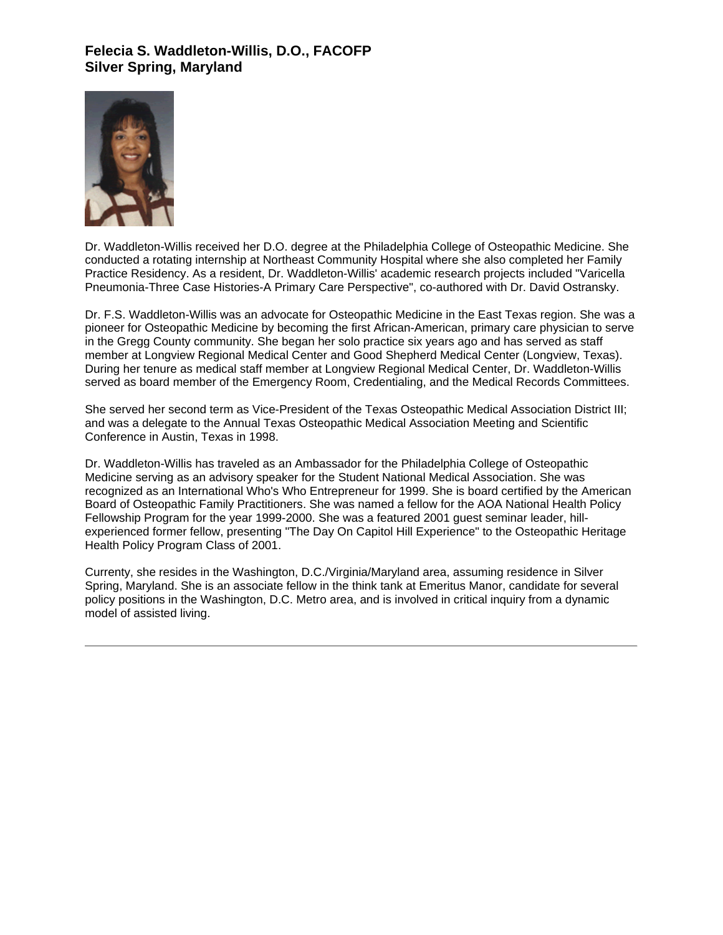# **Felecia S. Waddleton-Willis, D.O., FACOFP Silver Spring, Maryland**



Dr. Waddleton-Willis received her D.O. degree at the Philadelphia College of Osteopathic Medicine. She conducted a rotating internship at Northeast Community Hospital where she also completed her Family Practice Residency. As a resident, Dr. Waddleton-Willis' academic research projects included "Varicella Pneumonia-Three Case Histories-A Primary Care Perspective", co-authored with Dr. David Ostransky.

Dr. F.S. Waddleton-Willis was an advocate for Osteopathic Medicine in the East Texas region. She was a pioneer for Osteopathic Medicine by becoming the first African-American, primary care physician to serve in the Gregg County community. She began her solo practice six years ago and has served as staff member at Longview Regional Medical Center and Good Shepherd Medical Center (Longview, Texas). During her tenure as medical staff member at Longview Regional Medical Center, Dr. Waddleton-Willis served as board member of the Emergency Room, Credentialing, and the Medical Records Committees.

She served her second term as Vice-President of the Texas Osteopathic Medical Association District III; and was a delegate to the Annual Texas Osteopathic Medical Association Meeting and Scientific Conference in Austin, Texas in 1998.

Dr. Waddleton-Willis has traveled as an Ambassador for the Philadelphia College of Osteopathic Medicine serving as an advisory speaker for the Student National Medical Association. She was recognized as an International Who's Who Entrepreneur for 1999. She is board certified by the American Board of Osteopathic Family Practitioners. She was named a fellow for the AOA National Health Policy Fellowship Program for the year 1999-2000. She was a featured 2001 guest seminar leader, hillexperienced former fellow, presenting "The Day On Capitol Hill Experience" to the Osteopathic Heritage Health Policy Program Class of 2001.

Currenty, she resides in the Washington, D.C./Virginia/Maryland area, assuming residence in Silver Spring, Maryland. She is an associate fellow in the think tank at Emeritus Manor, candidate for several policy positions in the Washington, D.C. Metro area, and is involved in critical inquiry from a dynamic model of assisted living.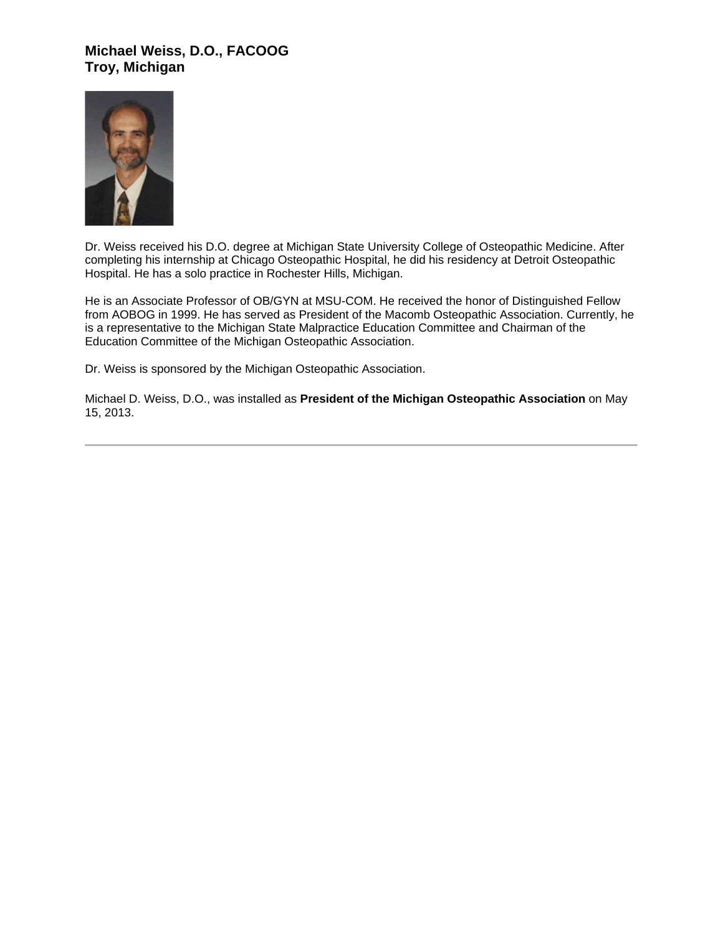## **Michael Weiss, D.O., FACOOG Troy, Michigan**



Dr. Weiss received his D.O. degree at Michigan State University College of Osteopathic Medicine. After completing his internship at Chicago Osteopathic Hospital, he did his residency at Detroit Osteopathic Hospital. He has a solo practice in Rochester Hills, Michigan.

He is an Associate Professor of OB/GYN at MSU-COM. He received the honor of Distinguished Fellow from AOBOG in 1999. He has served as President of the Macomb Osteopathic Association. Currently, he is a representative to the Michigan State Malpractice Education Committee and Chairman of the Education Committee of the Michigan Osteopathic Association.

Dr. Weiss is sponsored by the Michigan Osteopathic Association.

Michael D. Weiss, D.O., was installed as **President of the Michigan Osteopathic Association** on May 15, 2013.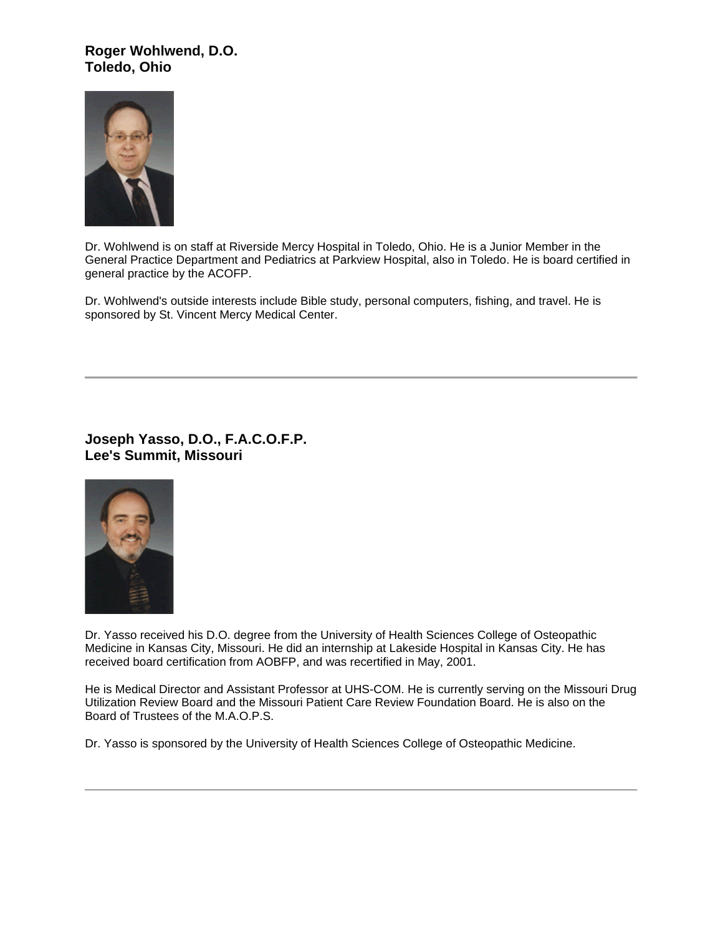#### **Roger Wohlwend, D.O. Toledo, Ohio**



Dr. Wohlwend is on staff at Riverside Mercy Hospital in Toledo, Ohio. He is a Junior Member in the General Practice Department and Pediatrics at Parkview Hospital, also in Toledo. He is board certified in general practice by the ACOFP.

Dr. Wohlwend's outside interests include Bible study, personal computers, fishing, and travel. He is sponsored by St. Vincent Mercy Medical Center.

**Joseph Yasso, D.O., F.A.C.O.F.P. Lee's Summit, Missouri**



Dr. Yasso received his D.O. degree from the University of Health Sciences College of Osteopathic Medicine in Kansas City, Missouri. He did an internship at Lakeside Hospital in Kansas City. He has received board certification from AOBFP, and was recertified in May, 2001.

He is Medical Director and Assistant Professor at UHS-COM. He is currently serving on the Missouri Drug Utilization Review Board and the Missouri Patient Care Review Foundation Board. He is also on the Board of Trustees of the M.A.O.P.S.

Dr. Yasso is sponsored by the University of Health Sciences College of Osteopathic Medicine.